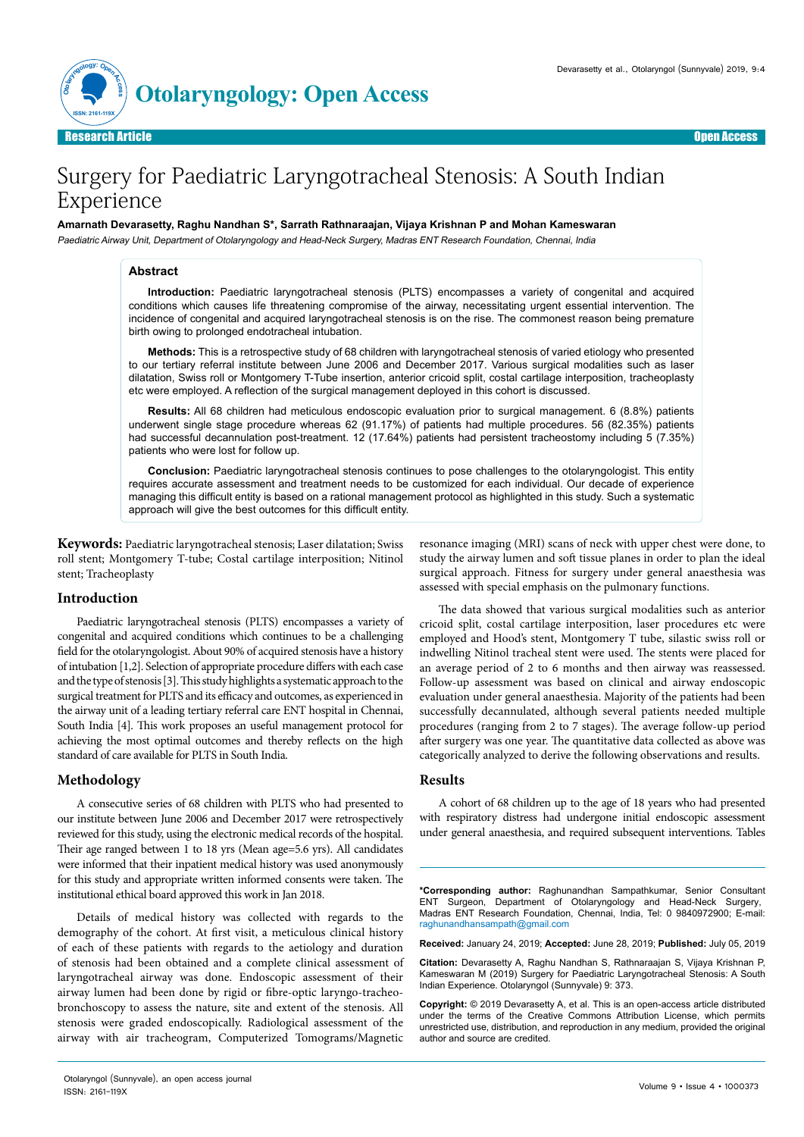

# Surgery for Paediatric Laryngotracheal Stenosis: A South Indian Experience

## **Amarnath Devarasetty, Raghu Nandhan S\*, Sarrath Rathnaraajan, Vijaya Krishnan P and Mohan Kameswaran**

Paediatric Airway Unit, Department of Otolaryngology and Head-Neck Surgery, Madras ENT Research Foundation, Chennai, India

## **Abstract**

**Introduction:** Paediatric laryngotracheal stenosis (PLTS) encompasses a variety of congenital and acquired conditions which causes life threatening compromise of the airway, necessitating urgent essential intervention. The incidence of congenital and acquired laryngotracheal stenosis is on the rise. The commonest reason being premature birth owing to prolonged endotracheal intubation.

**Methods:** This is a retrospective study of 68 children with laryngotracheal stenosis of varied etiology who presented to our tertiary referral institute between June 2006 and December 2017. Various surgical modalities such as laser dilatation, Swiss roll or Montgomery T-Tube insertion, anterior cricoid split, costal cartilage interposition, tracheoplasty etc were employed. A reflection of the surgical management deployed in this cohort is discussed.

**Results:** All 68 children had meticulous endoscopic evaluation prior to surgical management. 6 (8.8%) patients underwent single stage procedure whereas 62 (91.17%) of patients had multiple procedures. 56 (82.35%) patients had successful decannulation post-treatment. 12 (17.64%) patients had persistent tracheostomy including 5 (7.35%) patients who were lost for follow up.

**Conclusion:** Paediatric laryngotracheal stenosis continues to pose challenges to the otolaryngologist. This entity requires accurate assessment and treatment needs to be customized for each individual. Our decade of experience managing this difficult entity is based on a rational management protocol as highlighted in this study. Such a systematic approach will give the best outcomes for this difficult entity.

**Keywords:** Paediatric laryngotracheal stenosis; Laser dilatation; Swiss roll stent; Montgomery T-tube; Costal cartilage interposition; Nitinol stent; Tracheoplasty

# **Introduction**

Paediatric laryngotracheal stenosis (PLTS) encompasses a variety of congenital and acquired conditions which continues to be a challenging field for the otolaryngologist. About 90% of acquired stenosis have a history of intubation [1,2]. Selection of appropriate procedure differs with each case and the type of stenosis [3]. This study highlights a systematic approach to the surgical treatment for PLTS and its efficacy and outcomes, as experienced in the airway unit of a leading tertiary referral care ENT hospital in Chennai, South India [4]. This work proposes an useful management protocol for achieving the most optimal outcomes and thereby reflects on the high standard of care available for PLTS in South India.

## **Methodology**

A consecutive series of 68 children with PLTS who had presented to our institute between June 2006 and December 2017 were retrospectively reviewed for this study, using the electronic medical records of the hospital. Their age ranged between 1 to 18 yrs (Mean age=5.6 yrs). All candidates were informed that their inpatient medical history was used anonymously for this study and appropriate written informed consents were taken. The institutional ethical board approved this work in Jan 2018.

Details of medical history was collected with regards to the demography of the cohort. At first visit, a meticulous clinical history of each of these patients with regards to the aetiology and duration of stenosis had been obtained and a complete clinical assessment of laryngotracheal airway was done. Endoscopic assessment of their airway lumen had been done by rigid or fibre-optic laryngo-tracheobronchoscopy to assess the nature, site and extent of the stenosis. All stenosis were graded endoscopically. Radiological assessment of the airway with air tracheogram, Computerized Tomograms/Magnetic

resonance imaging (MRI) scans of neck with upper chest were done, to study the airway lumen and soft tissue planes in order to plan the ideal surgical approach. Fitness for surgery under general anaesthesia was assessed with special emphasis on the pulmonary functions.

The data showed that various surgical modalities such as anterior cricoid split, costal cartilage interposition, laser procedures etc were employed and Hood's stent, Montgomery T tube, silastic swiss roll or indwelling Nitinol tracheal stent were used. The stents were placed for an average period of 2 to 6 months and then airway was reassessed. Follow-up assessment was based on clinical and airway endoscopic evaluation under general anaesthesia. Majority of the patients had been successfully decannulated, although several patients needed multiple procedures (ranging from 2 to 7 stages). The average follow-up period after surgery was one year. The quantitative data collected as above was categorically analyzed to derive the following observations and results.

## **Results**

A cohort of 68 children up to the age of 18 years who had presented with respiratory distress had undergone initial endoscopic assessment under general anaesthesia, and required subsequent interventions. Tables

**\*Corresponding author:** Raghunandhan Sampathkumar, Senior Consultant ENT Surgeon, Department of Otolaryngology and Head-Neck Surgery, Madras ENT Research Foundation, Chennai, India, Tel: 0 9840972900; E-mail: raghunandhansampath@gmail.com

**Received:** January 24, 2019; **Accepted:** June 28, 2019; **Published:** July 05, 2019

**Citation:** Devarasetty A, Raghu Nandhan S, Rathnaraajan S, Vijaya Krishnan P, Kameswaran M (2019) Surgery for Paediatric Laryngotracheal Stenosis: A South Indian Experience. Otolaryngol (Sunnyvale) 9: 373.

**Copyright:** © 2019 Devarasetty A, et al. This is an open-access article distributed under the terms of the Creative Commons Attribution License, which permits unrestricted use, distribution, and reproduction in any medium, provided the original author and source are credited.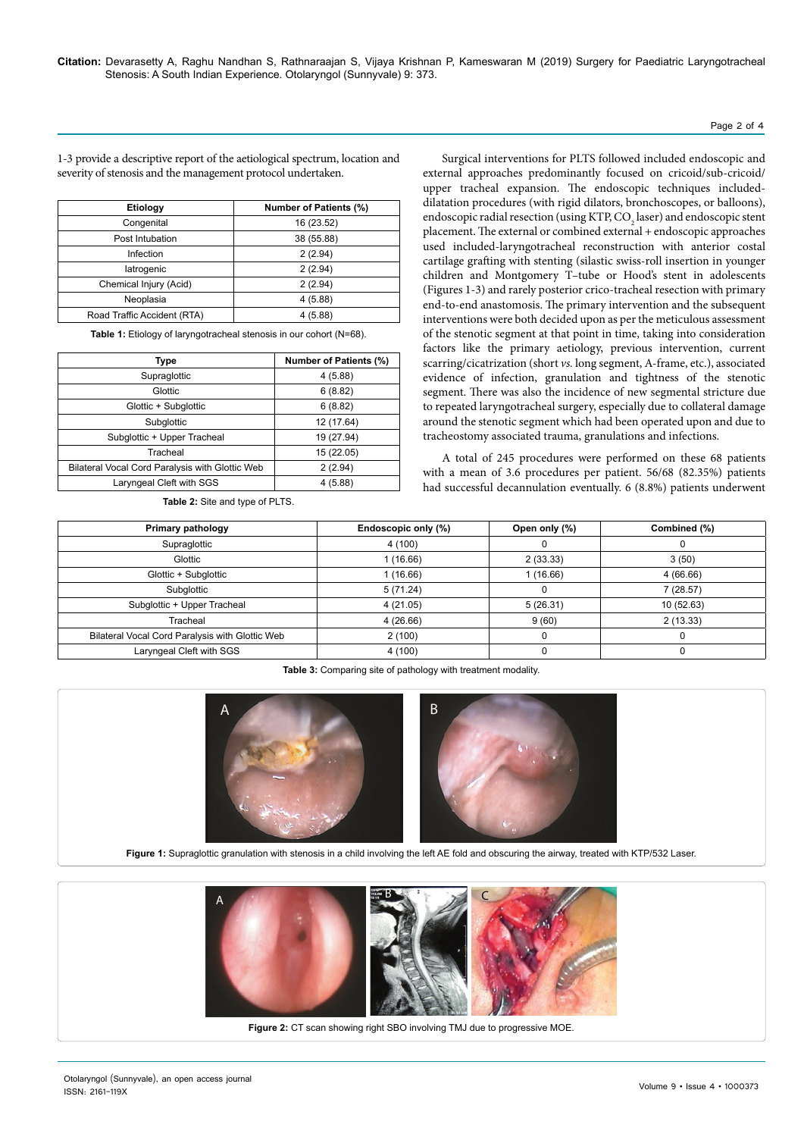# Page 2 of 4

1-3 provide a descriptive report of the aetiological spectrum, location and severity of stenosis and the management protocol undertaken.

| <b>Etiology</b>             | <b>Number of Patients (%)</b> |  |  |  |  |
|-----------------------------|-------------------------------|--|--|--|--|
| Congenital                  | 16 (23.52)                    |  |  |  |  |
| Post Intubation             | 38 (55.88)                    |  |  |  |  |
| Infection                   | 2(2.94)                       |  |  |  |  |
| latrogenic                  | 2(2.94)                       |  |  |  |  |
| Chemical Injury (Acid)      | 2(2.94)                       |  |  |  |  |
| Neoplasia                   | 4(5.88)                       |  |  |  |  |
| Road Traffic Accident (RTA) | 4(5.88)                       |  |  |  |  |

Table 1: Etiology of laryngotracheal stenosis in our cohort (N=68).

| Type                                            | <b>Number of Patients (%)</b> |  |  |  |
|-------------------------------------------------|-------------------------------|--|--|--|
| Supraglottic                                    | 4(5.88)                       |  |  |  |
| Glottic                                         | 6(8.82)                       |  |  |  |
| Glottic + Subglottic                            | 6(8.82)                       |  |  |  |
| Subglottic                                      | 12 (17.64)                    |  |  |  |
| Subglottic + Upper Tracheal                     | 19 (27.94)                    |  |  |  |
| Tracheal                                        | 15 (22.05)                    |  |  |  |
| Bilateral Vocal Cord Paralysis with Glottic Web | 2(2.94)                       |  |  |  |
| Laryngeal Cleft with SGS                        | 4(5.88)                       |  |  |  |

**Table 2:** Site and type of PLTS.

Surgical interventions for PLTS followed included endoscopic and external approaches predominantly focused on cricoid/sub-cricoid/ upper tracheal expansion. The endoscopic techniques includeddilatation procedures (with rigid dilators, bronchoscopes, or balloons), endoscopic radial resection (using KTP,  $\mathrm{CO}_2$  laser) and endoscopic stent placement. The external or combined external + endoscopic approaches used included-laryngotracheal reconstruction with anterior costal cartilage grafting with stenting (silastic swiss-roll insertion in younger children and Montgomery T–tube or Hood's stent in adolescents (Figures 1-3) and rarely posterior crico-tracheal resection with primary end-to-end anastomosis. The primary intervention and the subsequent interventions were both decided upon as per the meticulous assessment of the stenotic segment at that point in time, taking into consideration factors like the primary aetiology, previous intervention, current scarring/cicatrization (short *vs.* long segment, A-frame, etc.), associated evidence of infection, granulation and tightness of the stenotic segment. There was also the incidence of new segmental stricture due to repeated laryngotracheal surgery, especially due to collateral damage around the stenotic segment which had been operated upon and due to tracheostomy associated trauma, granulations and infections.

A total of 245 procedures were performed on these 68 patients with a mean of 3.6 procedures per patient. 56/68 (82.35%) patients had successful decannulation eventually. 6 (8.8%) patients underwent

| Primary pathology                               | Endoscopic only (%) | Open only (%) | Combined (%) |  |
|-------------------------------------------------|---------------------|---------------|--------------|--|
| Supraglottic                                    | 4 (100)             | υ             |              |  |
| Glottic                                         | 1(16.66)            | 3(50)         |              |  |
| Glottic + Subglottic                            | 1 (16.66)           | (16.66)       | 4 (66.66)    |  |
| Subglottic                                      | 5(71.24)            |               | 7(28.57)     |  |
| Subglottic + Upper Tracheal                     | 4 (21.05)           | 5(26.31)      | 10 (52.63)   |  |
| Tracheal                                        | 4(26.66)            | 9(60)         | 2(13.33)     |  |
| Bilateral Vocal Cord Paralysis with Glottic Web | 2(100)              |               | 0            |  |
| Laryngeal Cleft with SGS                        | 4 (100)             |               | 0            |  |

**Table 3:** Comparing site of pathology with treatment modality.



**Figure 1:** Supraglottic granulation with stenosis in a child involving the left AE fold and obscuring the airway, treated with KTP/532 Laser.



**Figure 2:** CT scan showing right SBO involving TMJ due to progressive MOE.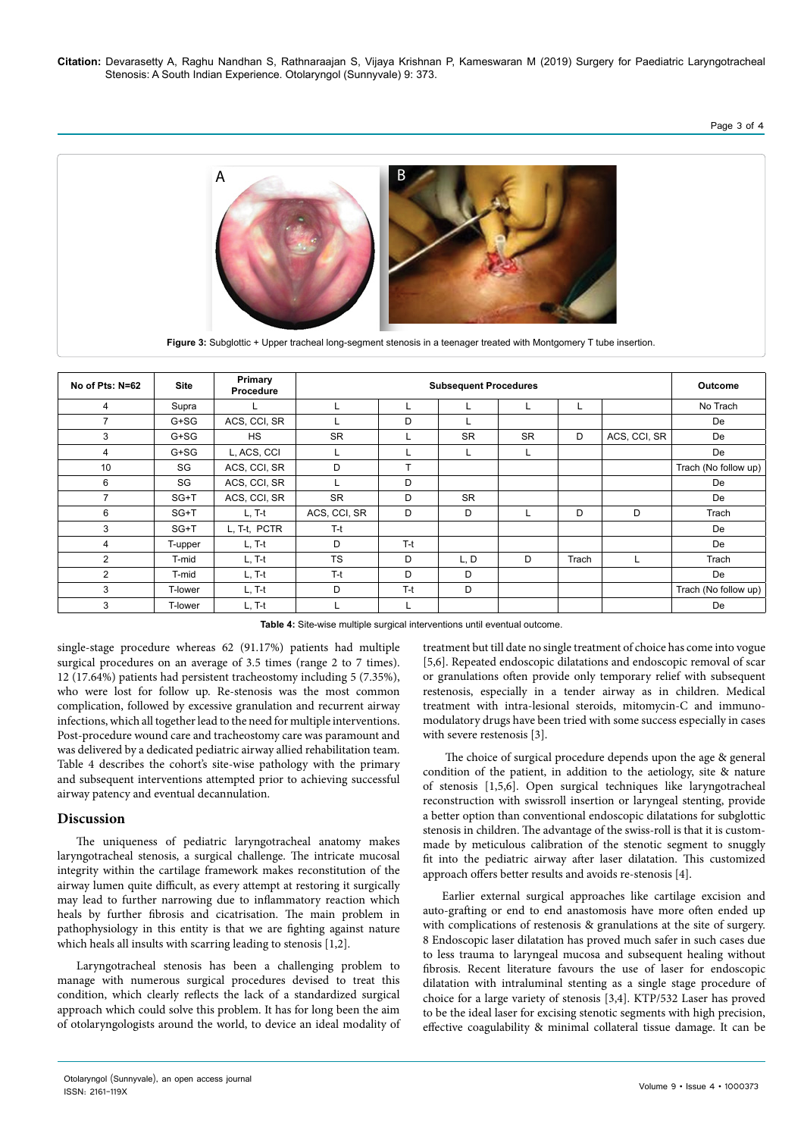**Citation:** Devarasetty A, Raghu Nandhan S, Rathnaraajan S, Vijaya Krishnan P, Kameswaran M (2019) Surgery for Paediatric Laryngotracheal Stenosis: A South Indian Experience. Otolaryngol (Sunnyvale) 9: 373.

# Page 3 of 4



**Figure 3:** Subglottic + Upper tracheal long-segment stenosis in a teenager treated with Montgomery T tube insertion.

| No of Pts: N=62 | <b>Site</b> | Primary<br>Procedure | <b>Subsequent Procedures</b> |                 |           |           | <b>Outcome</b> |              |                      |
|-----------------|-------------|----------------------|------------------------------|-----------------|-----------|-----------|----------------|--------------|----------------------|
| 4               | Supra       |                      |                              |                 |           |           |                |              | No Trach             |
| 7               | G+SG        | ACS, CCI, SR         |                              | D               |           |           |                |              | De                   |
| 3               | $G+SG$      | HS.                  | <b>SR</b>                    |                 | <b>SR</b> | <b>SR</b> | D              | ACS, CCI, SR | De                   |
| 4               | $G+SG$      | L, ACS, CCI          | ц                            |                 | L.        | L         |                |              | De                   |
| 10              | SG          | ACS, CCI, SR         | D                            | $\mathbf{\tau}$ |           |           |                |              | Trach (No follow up) |
| 6               | SG          | ACS, CCI, SR         |                              | D               |           |           |                |              | De                   |
| $\overline{7}$  | SG+T        | ACS, CCI, SR         | <b>SR</b>                    | D               | <b>SR</b> |           |                |              | De                   |
| 6               | SG+T        | $L, T-t$             | ACS, CCI, SR                 | D               | D         |           | D              | D            | Trach                |
| 3               | $SG+T$      | L. T-t. PCTR         | $T-t$                        |                 |           |           |                |              | De                   |
| 4               | T-upper     | $L, T-t$             | D                            | $T-t$           |           |           |                |              | De                   |
| 2               | T-mid       | L, T-t               | <b>TS</b>                    | D               | L, D      | D         | Trach          | L            | Trach                |
| $\overline{2}$  | T-mid       | $L, T-t$             | $T-t$                        | D               | D         |           |                |              | De                   |
| 3               | T-lower     | $L, T-t$             | D                            | $T-t$           | D         |           |                |              | Trach (No follow up) |
| 3               | T-lower     | $L, T-t$             | ⊾                            | ⊾               |           |           |                |              | De                   |

**Table 4:** Site-wise multiple surgical interventions until eventual outcome.

single-stage procedure whereas 62 (91.17%) patients had multiple surgical procedures on an average of 3.5 times (range 2 to 7 times). 12 (17.64%) patients had persistent tracheostomy including 5 (7.35%), who were lost for follow up. Re-stenosis was the most common complication, followed by excessive granulation and recurrent airway infections, which all together lead to the need for multiple interventions. Post-procedure wound care and tracheostomy care was paramount and was delivered by a dedicated pediatric airway allied rehabilitation team. Table 4 describes the cohort's site-wise pathology with the primary and subsequent interventions attempted prior to achieving successful airway patency and eventual decannulation.

## **Discussion**

The uniqueness of pediatric laryngotracheal anatomy makes laryngotracheal stenosis, a surgical challenge. The intricate mucosal integrity within the cartilage framework makes reconstitution of the airway lumen quite difficult, as every attempt at restoring it surgically may lead to further narrowing due to inflammatory reaction which heals by further fibrosis and cicatrisation. The main problem in pathophysiology in this entity is that we are fighting against nature which heals all insults with scarring leading to stenosis [1,2].

Laryngotracheal stenosis has been a challenging problem to manage with numerous surgical procedures devised to treat this condition, which clearly reflects the lack of a standardized surgical approach which could solve this problem. It has for long been the aim of otolaryngologists around the world, to device an ideal modality of

treatment but till date no single treatment of choice has come into vogue [5,6]. Repeated endoscopic dilatations and endoscopic removal of scar or granulations often provide only temporary relief with subsequent restenosis, especially in a tender airway as in children. Medical treatment with intra-lesional steroids, mitomycin-C and immunomodulatory drugs have been tried with some success especially in cases with severe restenosis [3].

 The choice of surgical procedure depends upon the age & general condition of the patient, in addition to the aetiology, site & nature of stenosis [1,5,6]. Open surgical techniques like laryngotracheal reconstruction with swissroll insertion or laryngeal stenting, provide a better option than conventional endoscopic dilatations for subglottic stenosis in children. The advantage of the swiss-roll is that it is custommade by meticulous calibration of the stenotic segment to snuggly fit into the pediatric airway after laser dilatation. This customized approach offers better results and avoids re-stenosis [4].

Earlier external surgical approaches like cartilage excision and auto-grafting or end to end anastomosis have more often ended up with complications of restenosis & granulations at the site of surgery. 8 Endoscopic laser dilatation has proved much safer in such cases due to less trauma to laryngeal mucosa and subsequent healing without fibrosis. Recent literature favours the use of laser for endoscopic dilatation with intraluminal stenting as a single stage procedure of choice for a large variety of stenosis [3,4]. KTP/532 Laser has proved to be the ideal laser for excising stenotic segments with high precision, effective coagulability & minimal collateral tissue damage. It can be